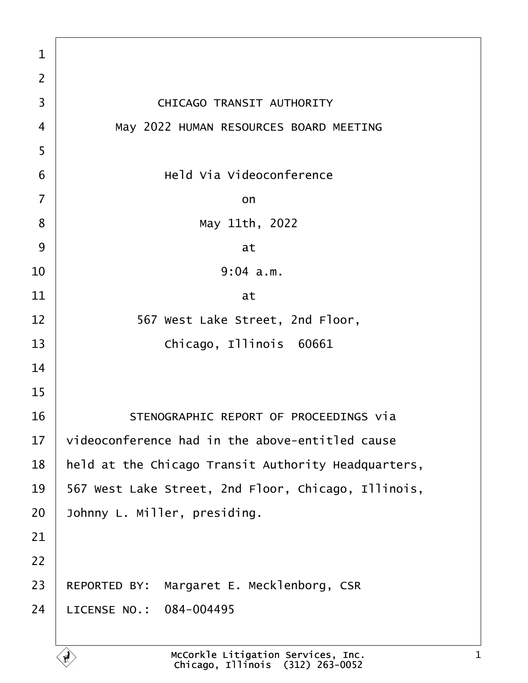| $\mathbf{1}$   |                                                     |
|----------------|-----------------------------------------------------|
| $\overline{2}$ |                                                     |
| 3              | CHICAGO TRANSIT AUTHORITY                           |
| $\overline{4}$ | May 2022 HUMAN RESOURCES BOARD MEETING              |
| 5              |                                                     |
| 6              | Held Via Videoconference                            |
| $\overline{7}$ | on                                                  |
| 8              | May 11th, 2022                                      |
| 9              | at                                                  |
| 10             | 9:04 a.m.                                           |
| 11             | at                                                  |
| 12             | 567 West Lake Street, 2nd Floor,                    |
| 13             | Chicago, Illinois 60661                             |
| 14             |                                                     |
| 15             |                                                     |
| 16             | STENOGRAPHIC REPORT OF PROCEEDINGS Via              |
| 17             | videoconference had in the above-entitled cause     |
| 18             | held at the Chicago Transit Authority Headquarters, |
| 19             | 567 West Lake Street, 2nd Floor, Chicago, Illinois, |
| 20             | Johnny L. Miller, presiding.                        |
| 21             |                                                     |
| 22             |                                                     |
| 23             | Margaret E. Mecklenborg, CSR<br>REPORTED BY:        |
| 24             | LICENSE NO.: 084-004495                             |
|                |                                                     |

É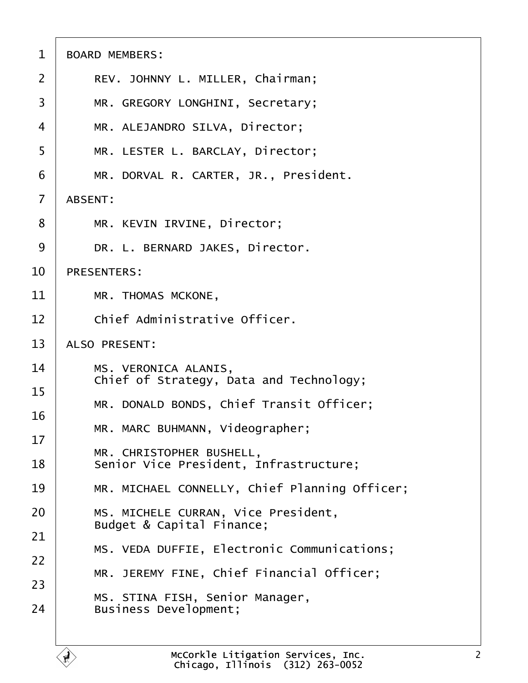| $\mathbf 1$    | <b>BOARD MEMBERS:</b>                                              |
|----------------|--------------------------------------------------------------------|
| $\overline{2}$ | REV. JOHNNY L. MILLER, Chairman;                                   |
| 3              | MR. GREGORY LONGHINI, Secretary;                                   |
| 4              | MR. ALEJANDRO SILVA, Director;                                     |
| 5              | MR. LESTER L. BARCLAY, Director;                                   |
| 6              | MR. DORVAL R. CARTER, JR., President.                              |
| $\overline{7}$ | ABSENT:                                                            |
| 8              | MR. KEVIN IRVINE, Director;                                        |
| 9              | DR. L. BERNARD JAKES, Director.                                    |
| 10             | <b>PRESENTERS:</b>                                                 |
| 11             | MR. THOMAS MCKONE,                                                 |
| 12             | Chief Administrative Officer.                                      |
| 13             | ALSO PRESENT:                                                      |
| 14<br>15       | MS. VERONICA ALANIS,<br>Chief of Strategy, Data and Technology;    |
| 16             | MR. DONALD BONDS, Chief Transit Officer;                           |
| 17             | MR. MARC BUHMANN, Videographer;                                    |
| 18             | MR. CHRISTOPHER BUSHELL,<br>Senior Vice President, Infrastructure; |
| 19             | MR. MICHAEL CONNELLY, Chief Planning Officer;                      |
| 20             | MS. MICHELE CURRAN, Vice President,<br>Budget & Capital Finance;   |
| 21             | MS. VEDA DUFFIE, Electronic Communications;                        |
| 22             | MR. JEREMY FINE, Chief Financial Officer;                          |
| 23             | MS. STINA FISH, Senior Manager,                                    |
| 24             | Business Development;                                              |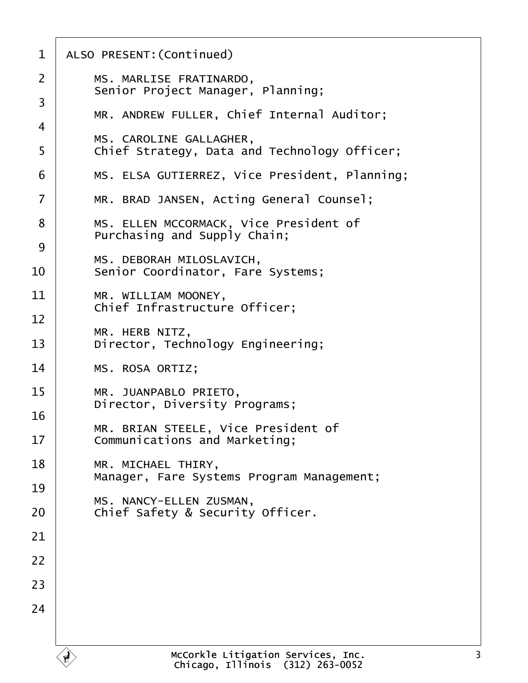| MS. MARLISE FRATINARDO,<br>Senior Project Manager, Planning;           |
|------------------------------------------------------------------------|
| MR. ANDREW FULLER, Chief Internal Auditor;                             |
| MS. CAROLINE GALLAGHER,                                                |
| Chief Strategy, Data and Technology Officer;                           |
| MS. ELSA GUTIERREZ, Vice President, Planning;                          |
| MR. BRAD JANSEN, Acting General Counsel;                               |
| MS. ELLEN MCCORMACK, Vice President of<br>Purchasing and Supply Chain; |
| MS. DEBORAH MILOSLAVICH,                                               |
| Senior Coordinator, Fare Systems;                                      |
| MR. WILLIAM MOONEY,                                                    |
| Chief Infrastructure Officer;                                          |
| MR. HERB NITZ,<br>Director, Technology Engineering;                    |
| MS. ROSA ORTIZ;                                                        |
| MR. JUANPABLO PRIETO,<br>Director, Diversity Programs;                 |
| MR. BRIAN STEELE, Vice President of                                    |
| Communications and Marketing;                                          |
| MR. MICHAEL THIRY,<br>Manager, Fare Systems Program Management;        |
|                                                                        |
| MS. NANCY-ELLEN ZUSMAN,<br>Chief Safety & Security Officer.            |
|                                                                        |
|                                                                        |
|                                                                        |
|                                                                        |
|                                                                        |
| McCorkle Litigation Services, Inc.<br>Chicago Illinois (312) 263-0052  |
|                                                                        |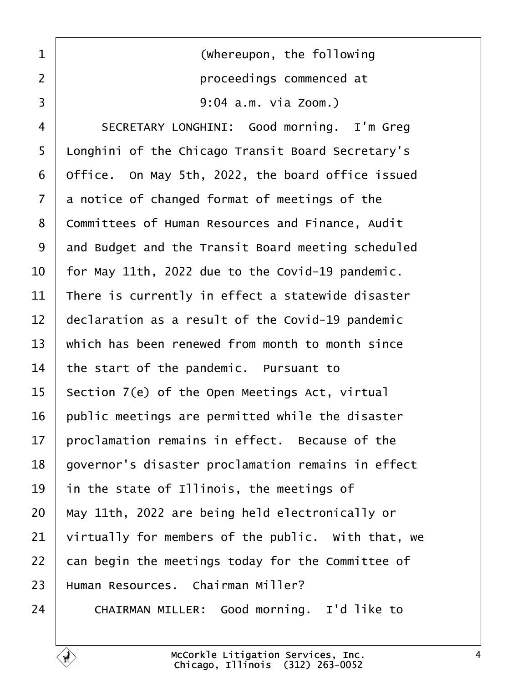<span id="page-3-0"></span>1 | **COLOREGIST (Whereupon, the following** ·2· · · · · · · · · · · proceedings commenced at 3 | 9:04 a.m. via Zoom.)

4 SECRETARY LONGHINI: Good morning. I'm Greg 5 | Longhini of the Chicago Transit Board Secretary's Office. On May 5th, 2022, the board office issued a notice of changed format of meetings of the 8 | Committees of Human Resources and Finance, Audit 9 and Budget and the Transit Board meeting scheduled | for May 11th, 2022 due to the Covid-19 pandemic. | There is currently in effect a statewide disaster  $\parallel$  declaration as a result of the Covid-19 pandemic  $\parallel$  which has been renewed from month to month since the start of the pandemic. Pursuant to 15 Section 7(e) of the Open Meetings Act, virtual public meetings are permitted while the disaster  $\parallel$  proclamation remains in effect. Because of the 18 | governor's disaster proclamation remains in effect in the state of Illinois, the meetings of  $\mid$  May 11th, 2022 are being held electronically or  $\vert$  virtually for members of the public. With that, we  $\vert$  can begin the meetings today for the Committee of | Human Resources. Chairman Miller?

24 CHAIRMAN MILLER: Good morning. I'd like to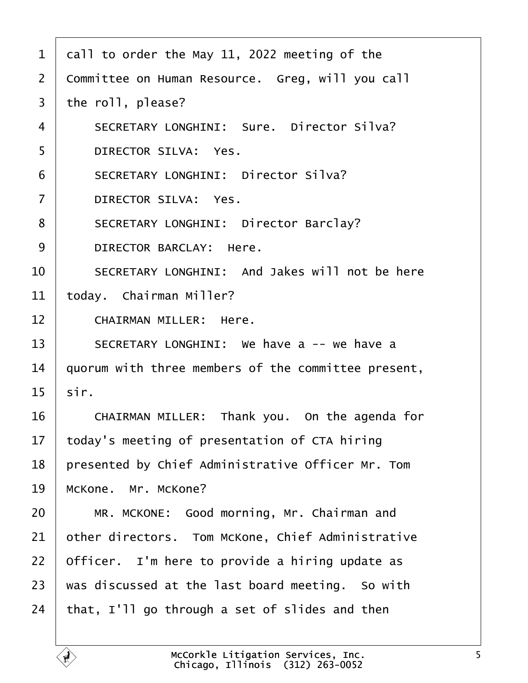<span id="page-4-0"></span>

| $\mathbf{1}$   | call to order the May 11, 2022 meeting of the       |
|----------------|-----------------------------------------------------|
| $\overline{2}$ | Committee on Human Resource. Greg, will you call    |
| 3              | the roll, please?                                   |
| $\overline{4}$ | SECRETARY LONGHINI: Sure. Director Silva?           |
| 5              | DIRECTOR SILVA: Yes.                                |
| 6              | SECRETARY LONGHINI: Director Silva?                 |
| $\overline{7}$ | DIRECTOR SILVA: Yes.                                |
| 8              | SECRETARY LONGHINI: Director Barclay?               |
| 9              | DIRECTOR BARCLAY: Here.                             |
| 10             | SECRETARY LONGHINI: And Jakes will not be here      |
| 11             | today. Chairman Miller?                             |
| 12             | CHAIRMAN MILLER: Here.                              |
| 13             | SECRETARY LONGHINI: We have a -- we have a          |
| 14             | quorum with three members of the committee present, |
| 15             | sir.                                                |
| 16             | CHAIRMAN MILLER: Thank you. On the agenda for       |
| 17             | today's meeting of presentation of CTA hiring       |
| 18             | presented by Chief Administrative Officer Mr. Tom   |
| 19             | McKone. Mr. McKone?                                 |
| 20             | MR. MCKONE: Good morning, Mr. Chairman and          |
| 21             | other directors. Tom McKone, Chief Administrative   |
| 22             | Officer. I'm here to provide a hiring update as     |
| 23             | was discussed at the last board meeting. So with    |
| 24             | that, I'll go through a set of slides and then      |
|                |                                                     |

É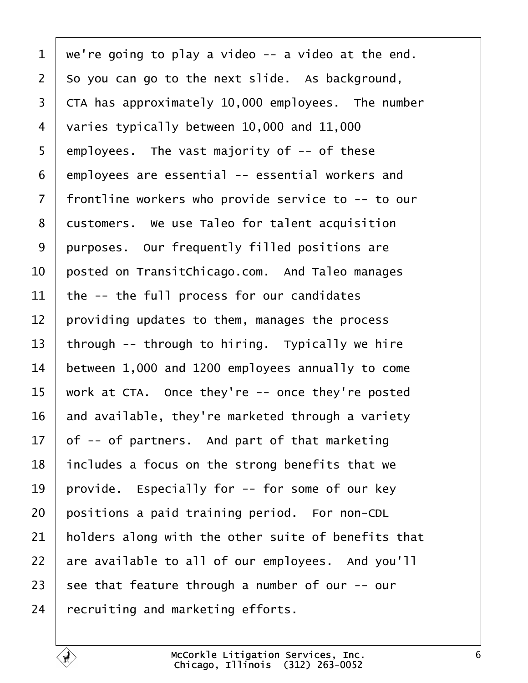<span id="page-5-0"></span> we're going to play a video -- a video at the end.  $2 \mid$  So you can go to the next slide. As background, CTA has approximately 10,000 employees. The number 4 varies typically between 10,000 and 11,000 employees. The vast majority of  $-$ - of these | employees are essential -- essential workers and | frontline workers who provide service to  $-$ - to our 8 | customers. We use Taleo for talent acquisition 9 purposes. Our frequently filled positions are  $\vert$  posted on TransitChicago.com. And Taleo manages the -- the full process for our candidates providing updates to them, manages the process 13 | through  $-$  through to hiring. Typically we hire between 1,000 and 1200 employees annually to come work at CTA. Once they're -- once they're posted  $\parallel$  and available, they're marketed through a variety of -- of partners. And part of that marketing | includes a focus on the strong benefits that we 19 | provide. Especially for  $-$ - for some of our key positions a paid training period. For non-CDL  $\parallel$  holders along with the other suite of benefits that are available to all of our employees. And you'll 23 see that feature through a number of our  $-$ - our recruiting and marketing efforts.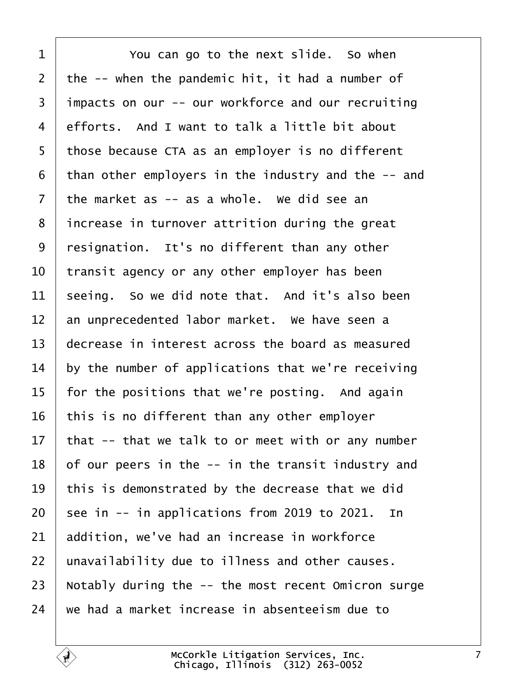<span id="page-6-0"></span>**I** You can go to the next slide. So when the  $-$ - when the pandemic hit, it had a number of 3 | impacts on our -- our workforce and our recruiting  $4 \mid$  efforts. And I want to talk a little bit about 5 | those because CTA as an employer is no different than other employers in the industry and the  $-$  and the market as -- as a whole. We did see an | increase in turnover attrition during the great 9 | resignation. It's no different than any other  $\vert$  transit agency or any other employer has been seeing. So we did note that. And it's also been  $\parallel$  an unprecedented labor market. We have seen a  $\overline{ }$  decrease in interest across the board as measured by the number of applications that we're receiving | for the positions that we're posting. And again this is no different than any other employer that -- that we talk to or meet with or any number of our peers in the  $-$  in the transit industry and  $\vert$  this is demonstrated by the decrease that we did  $\vert$  see in -- in applications from 2019 to 2021. In addition, we've had an increase in workforce | unavailability due to illness and other causes.  $\vert$  Notably during the  $-$ - the most recent Omicron surge  $\parallel$  we had a market increase in absenteeism due to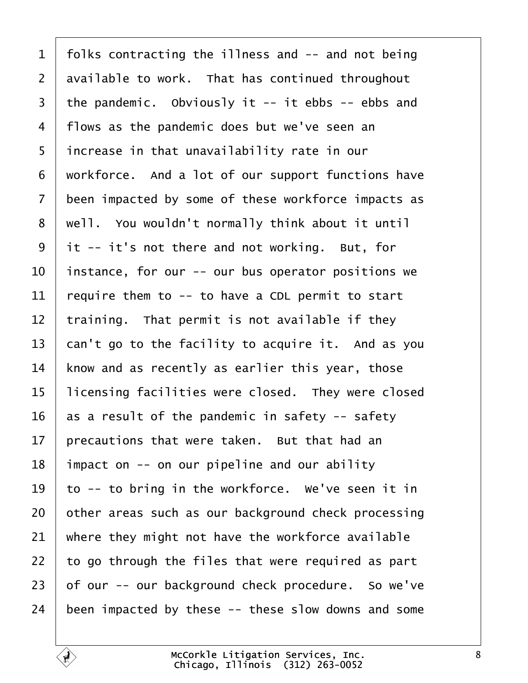<span id="page-7-0"></span> | folks contracting the illness and  $-$  and not being available to work. That has continued throughout the pandemic. Obviously it -- it ebbs -- ebbs and 4 | flows as the pandemic does but we've seen an 5 | increase in that unavailability rate in our workforce. And a lot of our support functions have 7 been impacted by some of these workforce impacts as | well. You wouldn't normally think about it until it -- it's not there and not working. But, for | instance, for our -- our bus operator positions we  $\vert$  require them to -- to have a CDL permit to start training. That permit is not available if they can't go to the facility to acquire it. And as you know and as recently as earlier this year, those 15 | licensing facilities were closed. They were closed  $\vert$  as a result of the pandemic in safety -- safety | precautions that were taken. But that had an | impact on -- on our pipeline and our ability  $\vert$  to -- to bring in the workforce. We've seen it in other areas such as our background check processing where they might not have the workforce available  $\vert$  to go through the files that were required as part of our -- our background check procedure. So we've been impacted by these  $-$ - these slow downs and some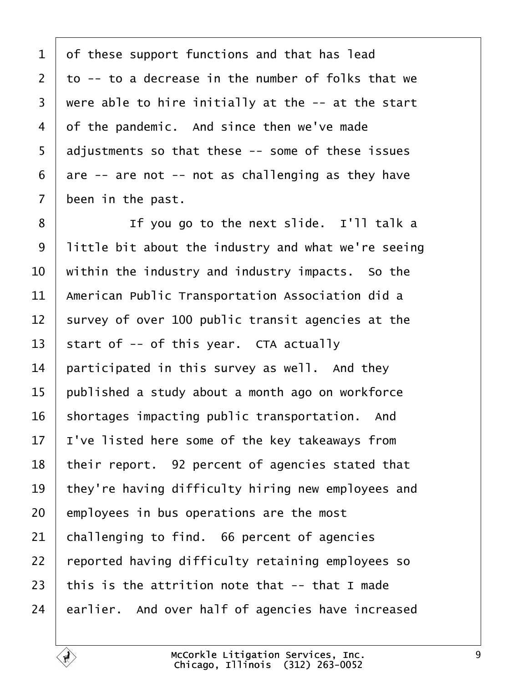<span id="page-8-0"></span> of these support functions and that has lead  $\pm$  to -- to a decrease in the number of folks that we were able to hire initially at the  $-$  at the start of the pandemic. And since then we've made adjustments so that these  $-$  some of these issues  $6 \mid$  are -- are not -- not as challenging as they have been in the past.

**I i i** If you go to the next slide. I'll talk a | little bit about the industry and what we're seeing  $\vert$  within the industry and industry impacts. So the  $\parallel$  American Public Transportation Association did a survey of over 100 public transit agencies at the 13 start of  $-$  of this year. CTA actually | participated in this survey as well. And they | published a study about a month ago on workforce shortages impacting public transportation. And | I've listed here some of the key takeaways from | their report. 92 percent of agencies stated that | they're having difficulty hiring new employees and employees in bus operations are the most challenging to find. 66 percent of agencies 22 reported having difficulty retaining employees so  $\vert$  this is the attrition note that -- that I made earlier. And over half of agencies have increased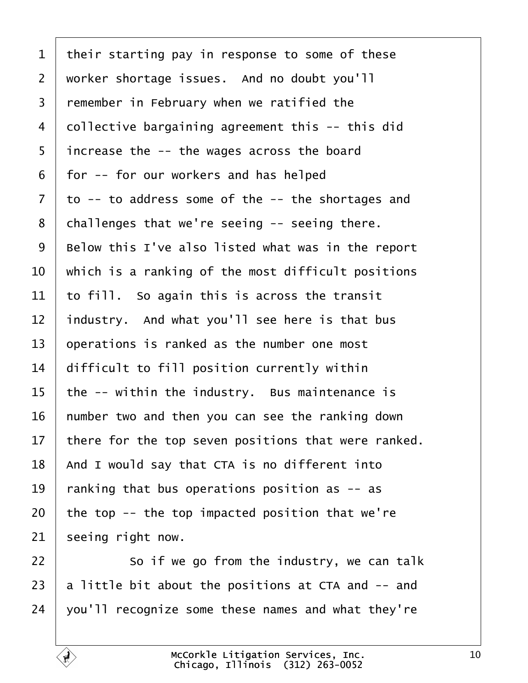<span id="page-9-0"></span> their starting pay in response to some of these 2 | worker shortage issues. And no doubt you'll remember in February when we ratified the collective bargaining agreement this  $-$ - this did | increase the  $-$  the wages across the board  $6 \mid$  for  $-$  for our workers and has helped to -- to address some of the -- the shortages and challenges that we're seeing  $-$  seeing there. Below this I've also listed what was in the report  $\vert$  which is a ranking of the most difficult positions  $\pm$  to fill. So again this is across the transit industry. And what you'll see here is that bus operations is ranked as the number one most difficult to fill position currently within | the -- within the industry. Bus maintenance is number two and then you can see the ranking down  $\vert$  there for the top seven positions that were ranked. | And I would say that CTA is no different into  $\parallel$  ranking that bus operations position as  $-$  as the top -- the top impacted position that we're seeing right now.

 so if we go from the industry, we can talk 23  $\vert$  a little bit about the positions at CTA and  $-$  and | you'll recognize some these names and what they're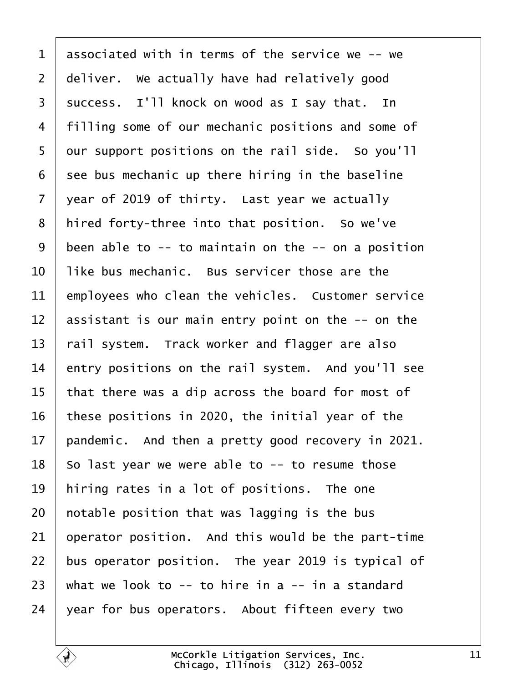<span id="page-10-0"></span> associated with in terms of the service we  $-$ - we deliver. We actually have had relatively good 3 | success. I'll knock on wood as I say that. In 4 | filling some of our mechanic positions and some of our support positions on the rail side. So you'll see bus mechanic up there hiring in the baseline vear of 2019 of thirty. Last year we actually | hired forty-three into that position. So we've been able to  $-$  to maintain on the  $-$  on a position  $\pm$  like bus mechanic. Bus servicer those are the employees who clean the vehicles. Customer service  $\vert$  assistant is our main entry point on the -- on the  $\vert$  rail system. Track worker and flagger are also entry positions on the rail system. And you'll see  $\vert$  that there was a dip across the board for most of 16 | these positions in 2020, the initial year of the 17 | pandemic. And then a pretty good recovery in 2021. So last year we were able to  $-$  to resume those | hiring rates in a lot of positions. The one | notable position that was lagging is the bus operator position. And this would be the part-time  $\vert$  bus operator position. The year 2019 is typical of  $\vert$  what we look to -- to hire in a -- in a standard vear for bus operators. About fifteen every two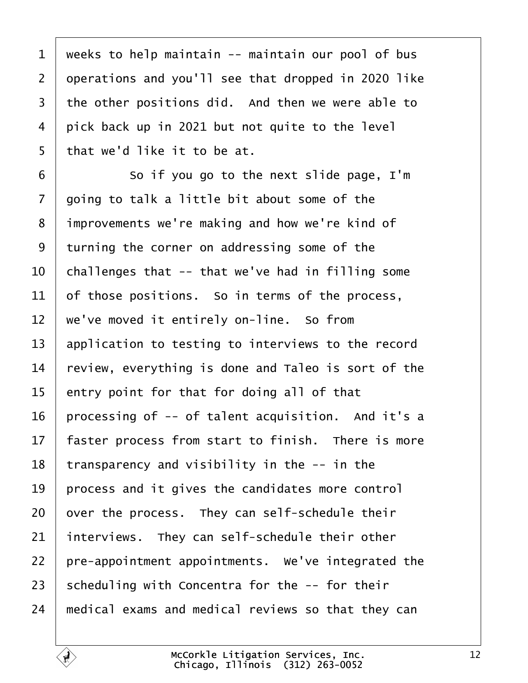<span id="page-11-0"></span> weeks to help maintain -- maintain our pool of bus 2 operations and you'll see that dropped in 2020 like  $\vert$  the other positions did. And then we were able to pick back up in 2021 but not quite to the level | that we'd like it to be at.

·6· · · · · · So if you go to the next slide page, I'm aoing to talk a little bit about some of the 8 improvements we're making and how we're kind of turning the corner on addressing some of the  $\vert$  challenges that -- that we've had in filling some of those positions. So in terms of the process,  $\parallel$  we've moved it entirely on-line. So from  $\vert$  application to testing to interviews to the record  $\vert$  review, everything is done and Taleo is sort of the entry point for that for doing all of that 16 | processing of  $-$ - of talent acquisition. And it's a  $\parallel$  faster process from start to finish. There is more | transparency and visibility in the  $-$  in the | process and it gives the candidates more control over the process. They can self-schedule their interviews. They can self-schedule their other  $\vert$  pre-appointment appointments. We've integrated the 23 Scheduling with Concentra for the  $-$ - for their  $\parallel$  medical exams and medical reviews so that they can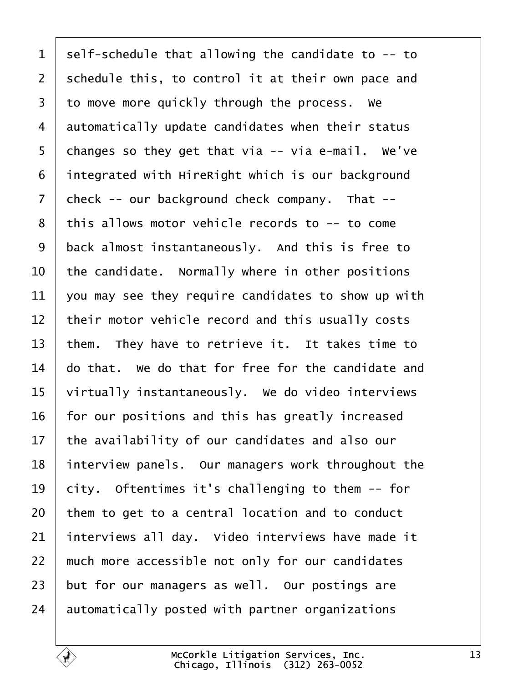<span id="page-12-0"></span> self-schedule that allowing the candidate to  $-$ - to schedule this, to control it at their own pace and to move more quickly through the process. We automatically update candidates when their status 5 changes so they get that via  $-$  via e-mail. We've integrated with HireRight which is our background check -- our background check company. That -- | this allows motor vehicle records to  $-$ - to come 9 | back almost instantaneously. And this is free to  $\vert$  the candidate. Normally where in other positions  $\vert$  you may see they require candidates to show up with their motor vehicle record and this usually costs  $\vert$  them. They have to retrieve it. It takes time to  $\parallel$  do that. We do that for free for the candidate and 15 virtually instantaneously. We do video interviews | for our positions and this has greatly increased the availability of our candidates and also our 18 interview panels. Our managers work throughout the  $\vert$  city. Oftentimes it's challenging to them  $-$  for them to get to a central location and to conduct interviews all day. Video interviews have made it  $\parallel$  much more accessible not only for our candidates but for our managers as well. Our postings are automatically posted with partner organizations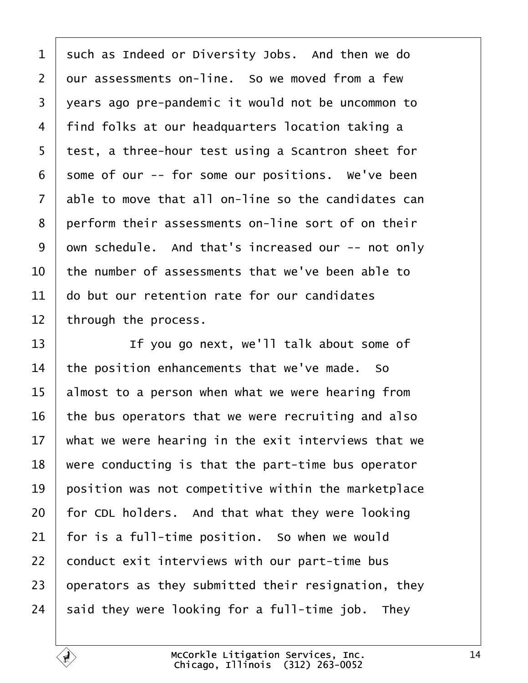<span id="page-13-0"></span> $1$  such as Indeed or Diversity Jobs. And then we do 2 our assessments on-line. So we moved from a few 3 vears ago pre-pandemic it would not be uncommon to 4 | find folks at our headquarters location taking a 5 test, a three-hour test using a Scantron sheet for  $6 \mid$  some of our -- for some our positions. We've been  $7$  able to move that all on-line so the candidates can 8 perform their assessments on-line sort of on their 9 | own schedule. And that's increased our -- not only  $10$   $\vert$  the number of assessments that we've been able to  $11$   $\vert$  do but our retention rate for our candidates  $12$  through the process.

13 The you go next, we'll talk about some of the position enhancements that we've made. So almost to a person when what we were hearing from  $\vert$  the bus operators that we were recruiting and also  $\parallel$  what we were hearing in the exit interviews that we  $\mid$  were conducting is that the part-time bus operator position was not competitive within the marketplace for CDL holders. And that what they were looking  $\vert$  for is a full-time position. So when we would conduct exit interviews with our part-time bus  $\vert$  operators as they submitted their resignation, they said they were looking for a full-time job. They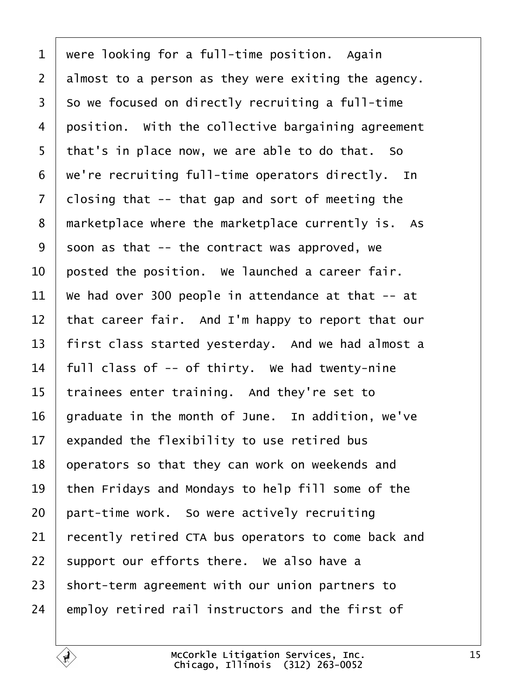<span id="page-14-0"></span> were looking for a full-time position. Again almost to a person as they were exiting the agency. so we focused on directly recruiting a full-time position. With the collective bargaining agreement | that's in place now, we are able to do that. So  $\mid$  we're recruiting full-time operators directly. In closing that -- that gap and sort of meeting the 8 marketplace where the marketplace currently is. As 9 soon as that  $-$  the contract was approved, we  $\vert$  posted the position. We launched a career fair.  $\parallel$  We had over 300 people in attendance at that -- at 12 | that career fair. And I'm happy to report that our 13 | first class started yesterday. And we had almost a  $\parallel$  full class of -- of thirty. We had twenty-nine trainees enter training. And they're set to | graduate in the month of June. In addition, we've expanded the flexibility to use retired bus 18 operators so that they can work on weekends and  $\vert$  then Fridays and Mondays to help fill some of the part-time work. So were actively recruiting recently retired CTA bus operators to come back and support our efforts there. We also have a short-term agreement with our union partners to employ retired rail instructors and the first of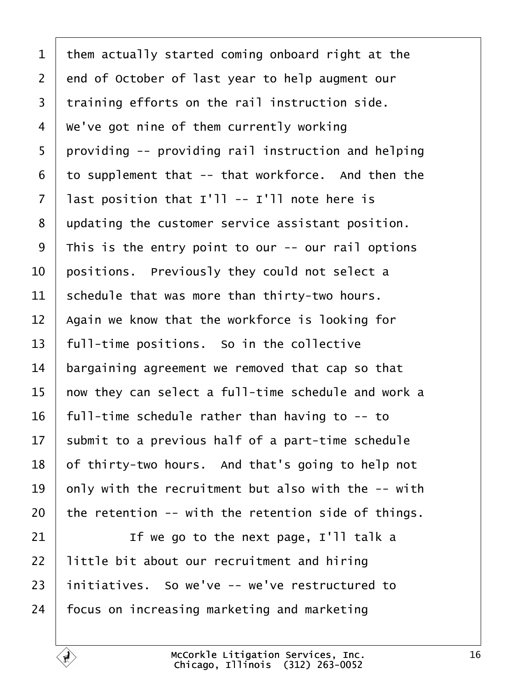<span id="page-15-0"></span>1 | them actually started coming onboard right at the 2 end of October of last year to help augment our  $\vert$  training efforts on the rail instruction side.  $4 \mid$  We've got nine of them currently working | providing  $-5$  providing rail instruction and helping to supplement that  $-$ - that workforce. And then the | last position that I'll -- I'll note here is 8 updating the customer service assistant position. This is the entry point to our  $-$ - our rail options  $\vert$  positions. Previously they could not select a schedule that was more than thirty-two hours. | Again we know that the workforce is looking for  $\mid$  full-time positions. So in the collective bargaining agreement we removed that cap so that  $\parallel$  now they can select a full-time schedule and work a 16 | full-time schedule rather than having to  $-$ - to submit to a previous half of a part-time schedule of thirty-two hours. And that's going to help not  $\vert$  only with the recruitment but also with the -- with  $\vert$  the retention -- with the retention side of things.  $\parallel$  **If we go to the next page, I'll talk a**  | little bit about our recruitment and hiring | initiatives. So we've -- we've restructured to

 $\overline{ }$  focus on increasing marketing and marketing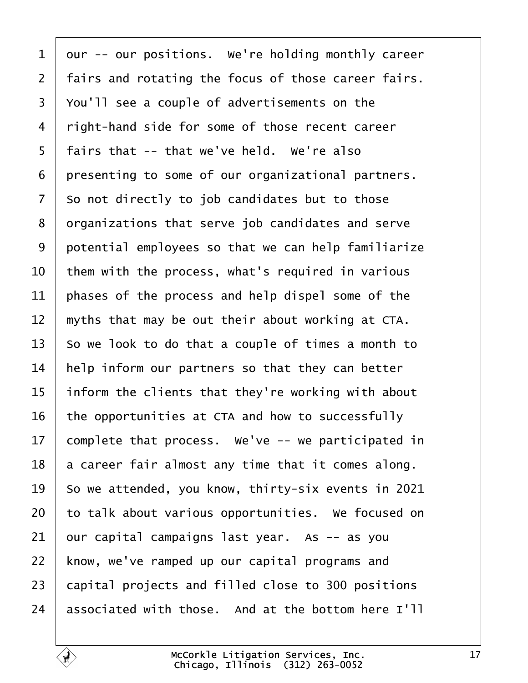<span id="page-16-0"></span>1 | our -- our positions. We're holding monthly career 2 | fairs and rotating the focus of those career fairs. 3 | You'll see a couple of advertisements on the 4 | right-hand side for some of those recent career | fairs that -- that we've held. We're also | presenting to some of our organizational partners. so not directly to job candidates but to those  $\vert$  organizations that serve job candidates and serve 9 | potential employees so that we can help familiarize  $\vert$  them with the process, what's required in various | phases of the process and help dispel some of the  $\parallel$  myths that may be out their about working at CTA.  $\vert$  So we look to do that a couple of times a month to  $\parallel$  help inform our partners so that they can better  $\parallel$  inform the clients that they're working with about the opportunities at CTA and how to successfully 17 complete that process. We've  $-$ - we participated in a career fair almost any time that it comes along.  $\vert$  So we attended, you know, thirty-six events in 2021 to talk about various opportunities. We focused on our capital campaigns last year. As  $-$  as you 22 | know, we've ramped up our capital programs and 23 | capital projects and filled close to 300 positions  $\vert$  associated with those. And at the bottom here I'll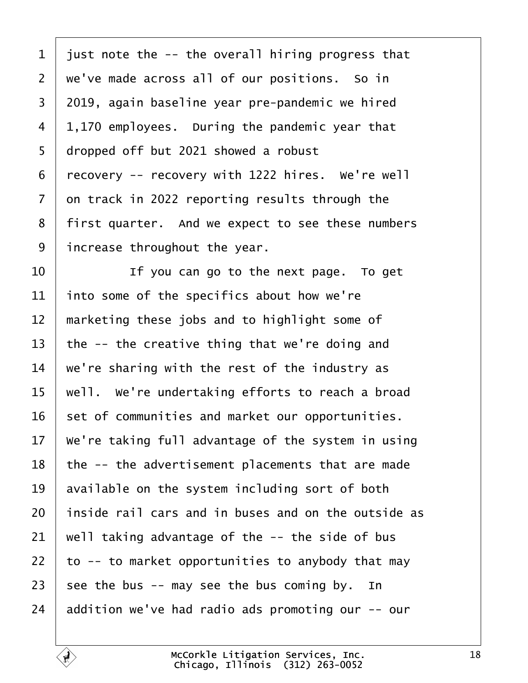<span id="page-17-0"></span>1 | just note the  $-$ - the overall hiring progress that  $2 \mid$  we've made across all of our positions. So in 3 2019, again baseline year pre-pandemic we hired  $4 \mid 1,170$  employees. During the pandemic year that dropped off but 2021 showed a robust recovery -- recovery with 1222 hires. We're well on track in 2022 reporting results through the 8 | first quarter. And we expect to see these numbers increase throughout the year.

  $\vert$   $\vert$  if you can go to the next page. To get  $\vert$  into some of the specifics about how we're | marketing these jobs and to highlight some of  $\vert$  the -- the creative thing that we're doing and  $\vert$  we're sharing with the rest of the industry as  $\vert$  well. We're undertaking efforts to reach a broad set of communities and market our opportunities.  $\vert$  We're taking full advantage of the system in using the  $-$  the advertisement placements that are made available on the system including sort of both | inside rail cars and in buses and on the outside as well taking advantage of the  $-$ - the side of bus  $\vert$  to -- to market opportunities to anybody that may 23 see the bus  $-$  may see the bus coming by. In  $\parallel$  addition we've had radio ads promoting our -- our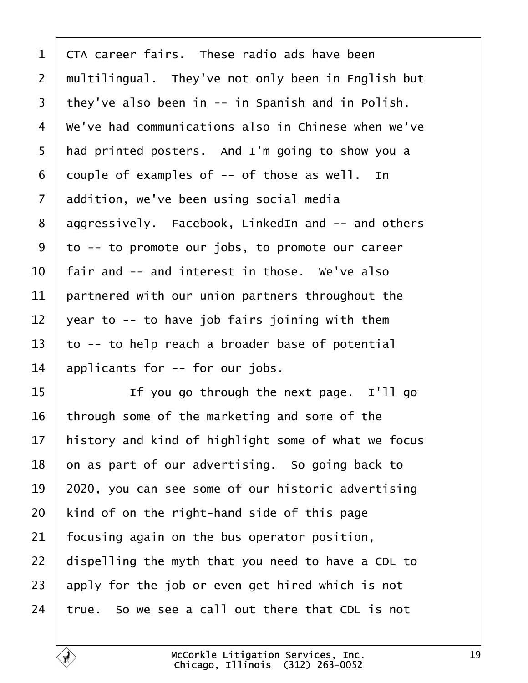<span id="page-18-0"></span>  $\overline{\phantom{a}}$  CTA career fairs. These radio ads have been  $\mid$  multilingual. They've not only been in English but  $\vert$  they've also been in -- in Spanish and in Polish. 4 | We've had communications also in Chinese when we've | had printed posters. And I'm going to show you a 6 couple of examples of  $-$  of those as well. In 7 addition, we've been using social media aggressively. Facebook, LinkedIn and  $-$  and others to -- to promote our jobs, to promote our career  $\vert$  fair and -- and interest in those. We've also partnered with our union partners throughout the 12 vear to  $-$  to have job fairs joining with them to -- to help reach a broader base of potential applicants for  $-$  for our jobs.

15· · · · · · If you go through the next page.· I'll go through some of the marketing and some of the | history and kind of highlight some of what we focus on as part of our advertising. So going back to | 2020, you can see some of our historic advertising | kind of on the right-hand side of this page focusing again on the bus operator position, | dispelling the myth that you need to have a CDL to apply for the job or even get hired which is not true. So we see a call out there that CDL is not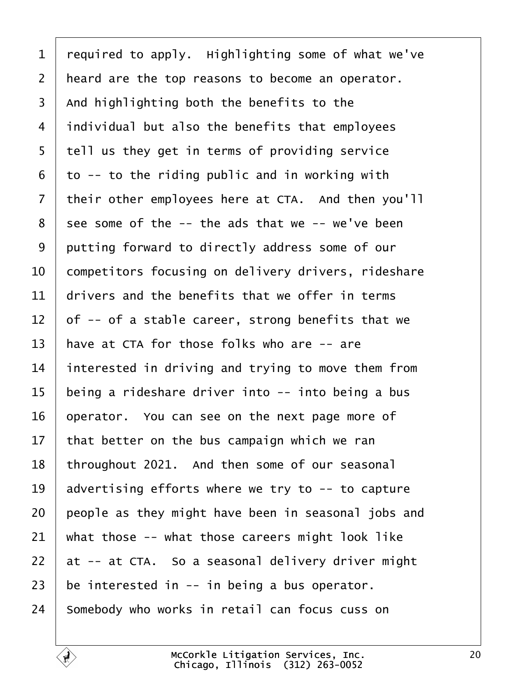<span id="page-19-0"></span> required to apply. Highlighting some of what we've | heard are the top reasons to become an operator.  $\overline{\phantom{a}}$  and highlighting both the benefits to the individual but also the benefits that employees | tell us they get in terms of providing service  $6 \mid$  to -- to the riding public and in working with their other employees here at CTA. And then you'll see some of the  $-$ - the ads that we  $-$  we've been 9 putting forward to directly address some of our  $\vert$  competitors focusing on delivery drivers, rideshare drivers and the benefits that we offer in terms  $\vert$  of -- of a stable career, strong benefits that we  $\parallel$  have at CTA for those folks who are -- are 14 interested in driving and trying to move them from 15 being a rideshare driver into  $-$  into being a bus | operator. You can see on the next page more of  $\vert$  that better on the bus campaign which we ran | throughout 2021. And then some of our seasonal  $\vert$  advertising efforts where we try to -- to capture people as they might have been in seasonal jobs and what those -- what those careers might look like at  $-$  at CTA. So a seasonal delivery driver might be interested in  $-$  in being a bus operator. somebody who works in retail can focus cuss on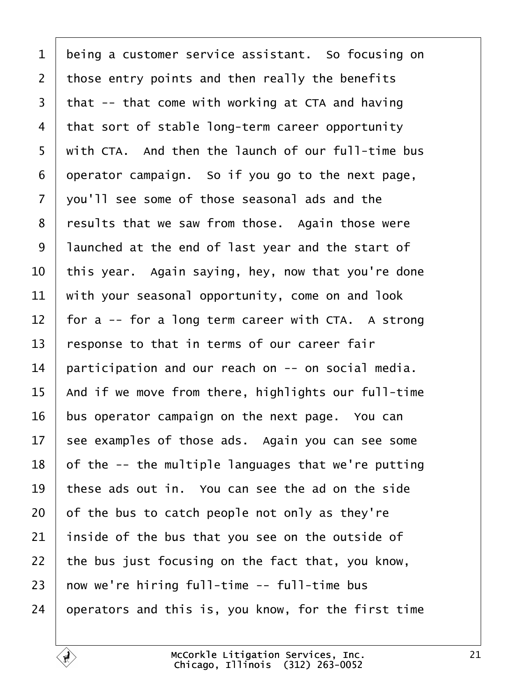<span id="page-20-0"></span>1 | being a customer service assistant. So focusing on those entry points and then really the benefits that -- that come with working at CTA and having that sort of stable long-term career opportunity with CTA. And then the launch of our full-time bus operator campaign. So if you go to the next page,  $\vert$  you'll see some of those seasonal ads and the 8 | results that we saw from those. Again those were 9 | launched at the end of last year and the start of  $\vert$  this year. Again saying, hey, now that you're done with your seasonal opportunity, come on and look  $\vert$  for a -- for a long term career with CTA. A strong  $\vert$  response to that in terms of our career fair 14 | participation and our reach on  $-$ - on social media.  $\mid$  And if we move from there, highlights our full-time bus operator campaign on the next page. You can see examples of those ads. Again you can see some of the  $-$ - the multiple languages that we're putting these ads out in. You can see the ad on the side of the bus to catch people not only as they're inside of the bus that you see on the outside of  $\vert$  the bus just focusing on the fact that, you know, now we're hiring full-time -- full-time bus operators and this is, you know, for the first time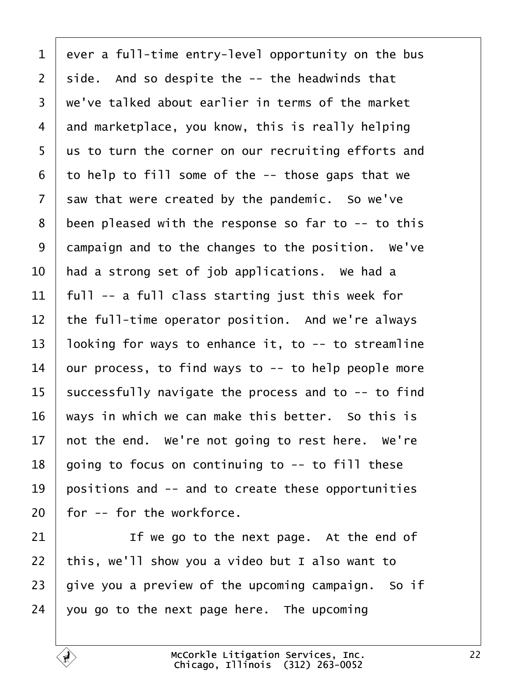<span id="page-21-0"></span> ever a full-time entry-level opportunity on the bus side. And so despite the  $-$ - the headwinds that  $\vert$  we've talked about earlier in terms of the market and marketplace, you know, this is really helping 5 | us to turn the corner on our recruiting efforts and to help to fill some of the -- those gaps that we saw that were created by the pandemic. So we've been pleased with the response so far to  $-$  to this campaign and to the changes to the position. We've  $\vert$  had a strong set of job applications. We had a  $\vert$  full -- a full class starting just this week for the full-time operator position. And we're always  $\vert$  looking for ways to enhance it, to -- to streamline  $\vert$  our process, to find ways to  $-$  to help people more successfully navigate the process and to  $-$ - to find ways in which we can make this better. So this is  $\vert$  not the end. We're not going to rest here. We're | going to focus on continuing to  $-$  to fill these  $\vert$  positions and  $\vert$ - and to create these opportunities | for -- for the workforce.

21· · · · · · If we go to the next page.· At the end of 22 | this, we'll show you a video but I also want to give you a preview of the upcoming campaign. So if vou go to the next page here. The upcoming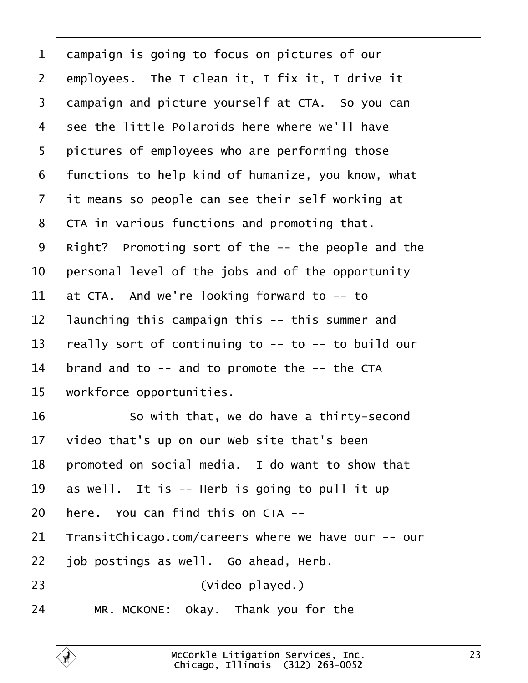<span id="page-22-0"></span> campaign is going to focus on pictures of our employees. The I clean it, I fix it, I drive it 3 campaign and picture yourself at CTA. So you can see the little Polaroids here where we'll have 5 | pictures of employees who are performing those | functions to help kind of humanize, you know, what it means so people can see their self working at  $\vert$  CTA in various functions and promoting that. 9 | Right? Promoting sort of the  $-$ - the people and the | personal level of the jobs and of the opportunity  $\vert$  at CTA. And we're looking forward to -- to | launching this campaign this -- this summer and  $\vert$  really sort of continuing to -- to -- to build our | brand and to -- and to promote the -- the CTA | workforce opportunities.

16 So with that, we do have a thirty-second  $\vert$  video that's up on our Web site that's been | promoted on social media. I do want to show that  $\vert$  as well. It is -- Herb is going to pull it up | here. You can find this on CTA -- TransitChicago.com/careers where we have our -- our | job postings as well. Go ahead, Herb. 23 | **Casa Company (State Company Proportion** Company (Video played.) MR. MCKONE: Okay. Thank you for the

> McCorkle Litigation Services, Inc. Chicago, Illinois· (312) 263-0052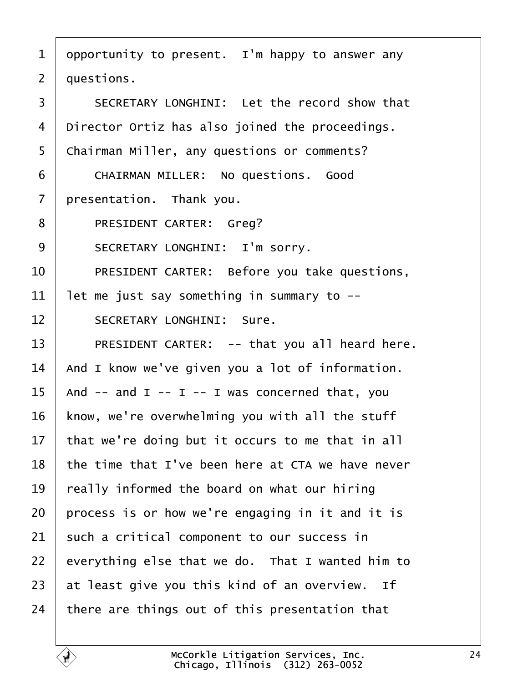<span id="page-23-0"></span>1 | opportunity to present. I'm happy to answer any  $2 \mid$  questions. 3 SECRETARY LONGHINI: Let the record show that  $4$  | Director Ortiz has also joined the proceedings. 5 | Chairman Miller, any questions or comments? 6 CHAIRMAN MILLER: No questions. Good  $7$  | presentation. Thank you. 8 | PRESIDENT CARTER: Greg? 9 | SECRETARY LONGHINI: I'm sorry. 10 PRESIDENT CARTER: Before you take questions,  $11$  let me just say something in summary to --12 SECRETARY LONGHINI: Sure. 13 | PRESIDENT CARTER: -- that you all heard here.  $14$   $\vert$  And I know we've given you a lot of information. 15  $\vert$  And -- and I -- I -- I was concerned that, you  $16$  | know, we're overwhelming you with all the stuff 17  $\vert$  that we're doing but it occurs to me that in all  $18$  the time that I've been here at CTA we have never  $19$  | really informed the board on what our hiring  $20$  process is or how we're engaging in it and it is  $21$  such a critical component to our success in  $22$  everything else that we do. That I wanted him to  $23$  at least give you this kind of an overview. If 24  $\vert$  there are things out of this presentation that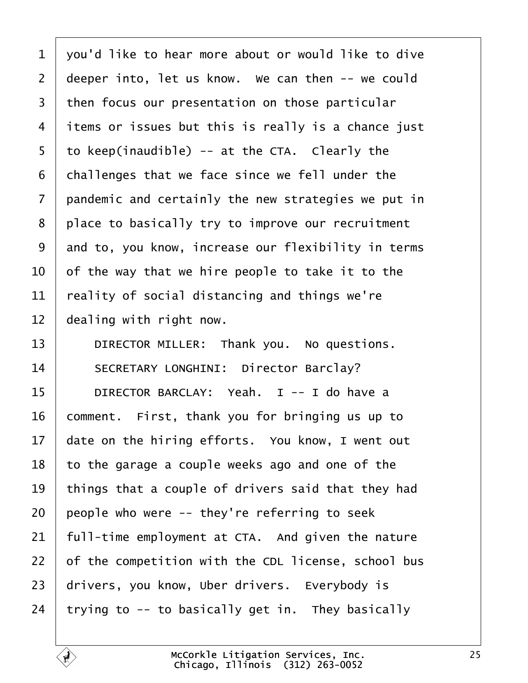<span id="page-24-0"></span>  $\vert$  you'd like to hear more about or would like to dive deeper into, let us know. We can then  $-$ - we could  $\vert$  then focus our presentation on those particular 4 items or issues but this is really is a chance just | to keep(inaudible) -- at the CTA. Clearly the challenges that we face since we fell under the pandemic and certainly the new strategies we put in 8 | place to basically try to improve our recruitment 9 and to, you know, increase our flexibility in terms  $\vert$  of the way that we hire people to take it to the  $\vert$  reality of social distancing and things we're dealing with right now.

13 DIRECTOR MILLER: Thank you. No questions. 14 SECRETARY LONGHINI: Director Barclay? 15 | DIRECTOR BARCLAY: Yeah. I -- I do have a comment. First, thank you for bringing us up to date on the hiring efforts. You know, I went out to the garage a couple weeks ago and one of the  $\vert$  things that a couple of drivers said that they had people who were  $-$  they're referring to seek | full-time employment at CTA. And given the nature of the competition with the CDL license, school bus 23 drivers, you know, Uber drivers. Everybody is trying to  $-$  to basically get in. They basically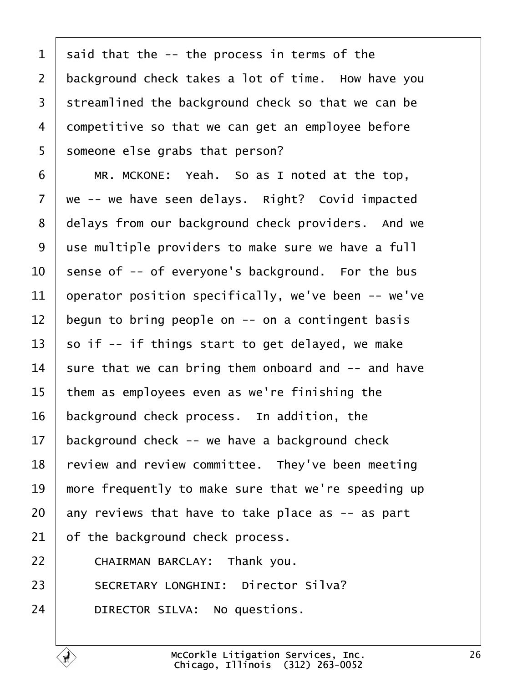<span id="page-25-0"></span> $1$  said that the  $-$ - the process in terms of the 2 background check takes a lot of time. How have you 3 | streamlined the background check so that we can be  $4$  competitive so that we can get an employee before 5 someone else grabs that person?

6 | MR. MCKONE: Yeah. So as I noted at the top,  $7 \mid$  we -- we have seen delays. Right? Covid impacted 8 delays from our background check providers. And we 9 | use multiple providers to make sure we have a full sense of -- of everyone's background. For the bus 11 | operator position specifically, we've been  $-$ - we've begun to bring people on  $-$  on a contingent basis  $\vert$  so if -- if things start to get delayed, we make 14 sure that we can bring them onboard and  $-$  and have them as employees even as we're finishing the background check process. In addition, the background check -- we have a background check  $\mid$  review and review committee. They've been meeting  $\parallel$  more frequently to make sure that we're speeding up any reviews that have to take place as  $-$  as part of the background check process. **CHAIRMAN BARCLAY:** Thank you.

23 | SECRETARY LONGHINI: Director Silva?

24 DIRECTOR SILVA: No questions.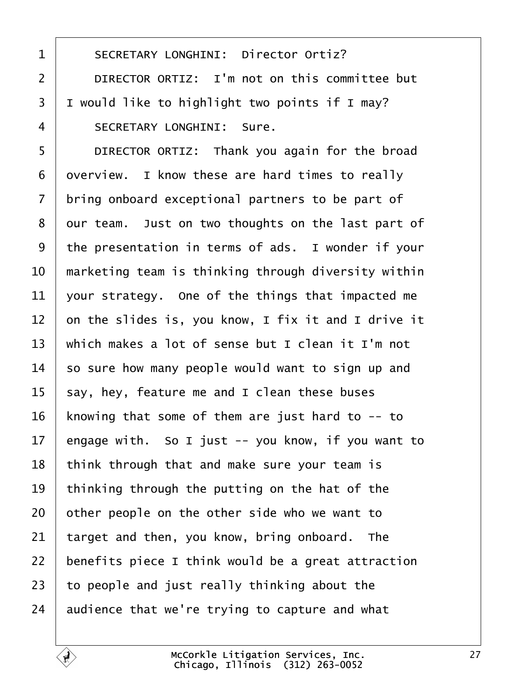<span id="page-26-0"></span>1 | SECRETARY LONGHINI: Director Ortiz? 2 DIRECTOR ORTIZ: I'm not on this committee but  $3$  I would like to highlight two points if I may? 4 SECRETARY LONGHINI: Sure.

5 DIRECTOR ORTIZ: Thank you again for the broad overview. I know these are hard times to really bring onboard exceptional partners to be part of 8 | our team. Just on two thoughts on the last part of 9 the presentation in terms of ads. I wonder if your  $\parallel$  marketing team is thinking through diversity within 11 vour strategy. One of the things that impacted me  $\vert$  on the slides is, you know, I fix it and I drive it  $\parallel$  which makes a lot of sense but I clean it I'm not so sure how many people would want to sign up and  $\vert$  say, hey, feature me and I clean these buses 16 | knowing that some of them are just hard to  $-$ - to 17 | engage with. So I just  $-$  you know, if you want to | think through that and make sure your team is 19 | thinking through the putting on the hat of the other people on the other side who we want to target and then, you know, bring onboard. The  $\vert$  benefits piece I think would be a great attraction to people and just really thinking about the audience that we're trying to capture and what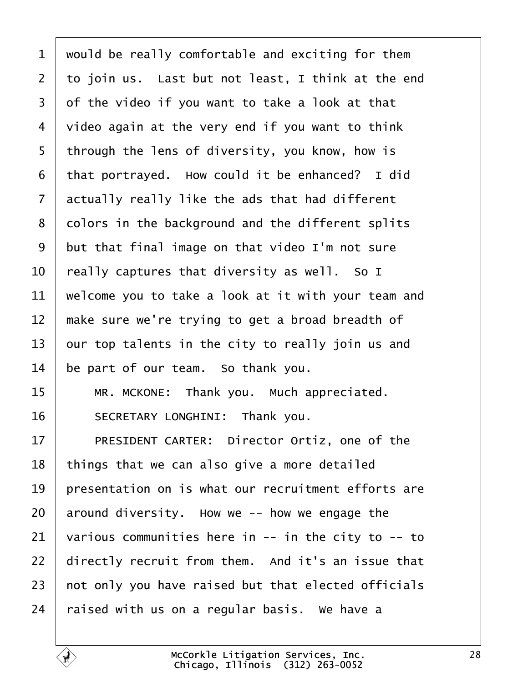<span id="page-27-0"></span> would be really comfortable and exciting for them  $\vert$  to join us. Last but not least, I think at the end of the video if you want to take a look at that video again at the very end if you want to think 5 | through the lens of diversity, you know, how is that portrayed. How could it be enhanced? I did actually really like the ads that had different 8 colors in the background and the different splits but that final image on that video I'm not sure  $\parallel$  really captures that diversity as well. So I  $\vert$  welcome you to take a look at it with your team and  $\parallel$  make sure we're trying to get a broad breadth of our top talents in the city to really join us and be part of our team. So thank you. 15 | MR. MCKONE: Thank you. Much appreciated. 16 SECRETARY LONGHINI: Thank you. 17 PRESIDENT CARTER: Director Ortiz, one of the | things that we can also give a more detailed  $\parallel$  presentation on is what our recruitment efforts are around diversity. How we -- how we engage the various communities here in  $-$  in the city to  $-$  to directly recruit from them. And it's an issue that  $\vert$  not only you have raised but that elected officials raised with us on a regular basis. We have a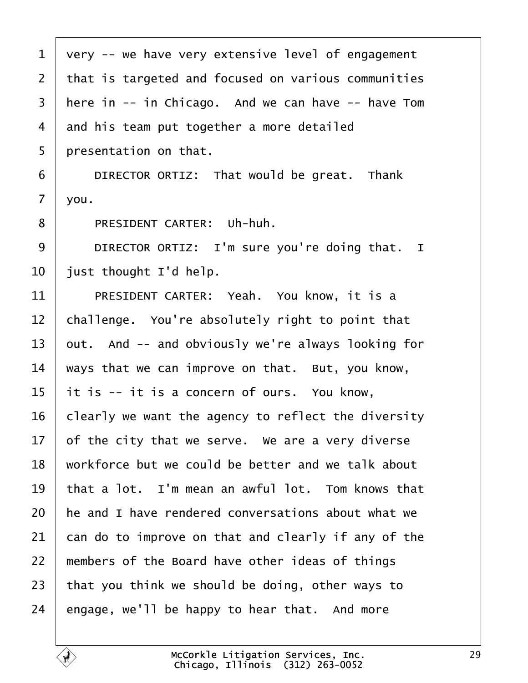<span id="page-28-0"></span>

| $\mathbf 1$    | very -- we have very extensive level of engagement   |
|----------------|------------------------------------------------------|
| $\overline{2}$ | that is targeted and focused on various communities  |
| $\overline{3}$ | here in $-$ in Chicago. And we can have $-$ have Tom |
| 4              | and his team put together a more detailed            |
| 5              | presentation on that.                                |
| 6              | DIRECTOR ORTIZ: That would be great. Thank           |
| $\overline{7}$ | you.                                                 |
| 8              | PRESIDENT CARTER: Uh-huh.                            |
| 9              | DIRECTOR ORTIZ: I'm sure you're doing that. I        |
| 10             | just thought I'd help.                               |
| 11             | PRESIDENT CARTER: Yeah. You know, it is a            |
| 12             | challenge. You're absolutely right to point that     |
| 13             | out. And -- and obviously we're always looking for   |
| 14             | ways that we can improve on that. But, you know,     |
| 15             | it is -- it is a concern of ours. You know,          |
| 16             | clearly we want the agency to reflect the diversity  |
| 17             | of the city that we serve. We are a very diverse     |
| 18             | workforce but we could be better and we talk about   |
| 19             | that a lot. I'm mean an awful lot. Tom knows that    |
| 20             | he and I have rendered conversations about what we   |
| 21             | can do to improve on that and clearly if any of the  |
| 22             | members of the Board have other ideas of things      |
| 23             | that you think we should be doing, other ways to     |
| 24             | engage, we'll be happy to hear that. And more        |
|                |                                                      |

É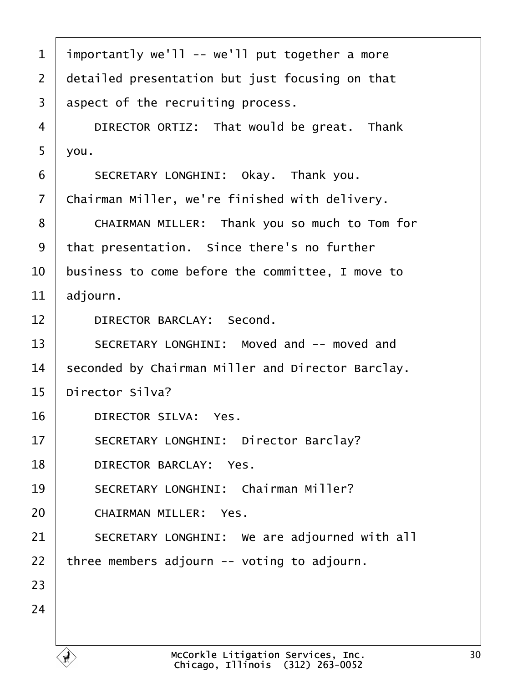<span id="page-29-0"></span>

| $\mathbf{1}$   | importantly we'll -- we'll put together a more                         |
|----------------|------------------------------------------------------------------------|
| $\overline{2}$ | detailed presentation but just focusing on that                        |
| 3              | aspect of the recruiting process.                                      |
| 4              | DIRECTOR ORTIZ: That would be great. Thank                             |
| 5              | you.                                                                   |
| 6              | SECRETARY LONGHINI: Okay. Thank you.                                   |
| $\overline{7}$ | Chairman Miller, we're finished with delivery.                         |
| 8              | CHAIRMAN MILLER: Thank you so much to Tom for                          |
| 9              | that presentation. Since there's no further                            |
| 10             | business to come before the committee, I move to                       |
| 11             | adjourn.                                                               |
| 12             | DIRECTOR BARCLAY: Second.                                              |
| 13             | SECRETARY LONGHINI: Moved and -- moved and                             |
| 14             | seconded by Chairman Miller and Director Barclay.                      |
| 15             | Director Silva?                                                        |
| 16             | DIRECTOR SILVA: Yes.                                                   |
| 17             | SECRETARY LONGHINI: Director Barclay?                                  |
| 18             | DIRECTOR BARCLAY: Yes.                                                 |
| 19             | SECRETARY LONGHINI: Chairman Miller?                                   |
| 20             | <b>CHAIRMAN MILLER:</b><br>Yes.                                        |
| 21             | SECRETARY LONGHINI: We are adjourned with all                          |
| 22             | three members adjourn -- voting to adjourn.                            |
| 23             |                                                                        |
| 24             |                                                                        |
|                |                                                                        |
|                | McCorkle Litigation Services, Inc.<br>Chicago, Illinois (312) 263-0052 |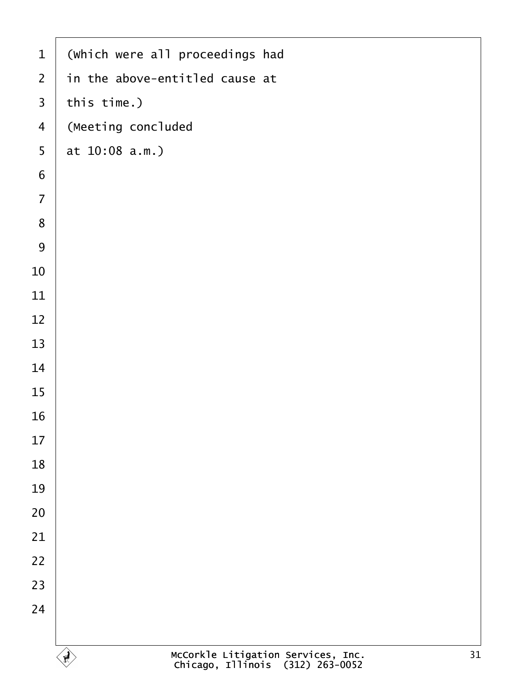| $\mathbf{1}$            | (which were all proceedings had                                              |
|-------------------------|------------------------------------------------------------------------------|
| $\overline{2}$          | in the above-entitled cause at                                               |
| $\overline{\mathbf{3}}$ | this time.)                                                                  |
| $\overline{\mathbf{4}}$ | (Meeting concluded                                                           |
| 5                       | at 10:08 a.m.)                                                               |
| $\boldsymbol{6}$        |                                                                              |
| $\overline{7}$          |                                                                              |
| 8                       |                                                                              |
| 9                       |                                                                              |
| 10                      |                                                                              |
| 11                      |                                                                              |
| 12                      |                                                                              |
| 13                      |                                                                              |
| 14                      |                                                                              |
| 15                      |                                                                              |
| 16                      |                                                                              |
| 17                      |                                                                              |
| 18                      |                                                                              |
| 19                      |                                                                              |
| 20                      |                                                                              |
| 21                      |                                                                              |
| 22                      |                                                                              |
| 23                      |                                                                              |
| 24                      |                                                                              |
|                         |                                                                              |
|                         | McCorkle Litigation Services, Inc.<br>Chicago, Illinois (312) 263-0052<br>31 |

 $\Gamma$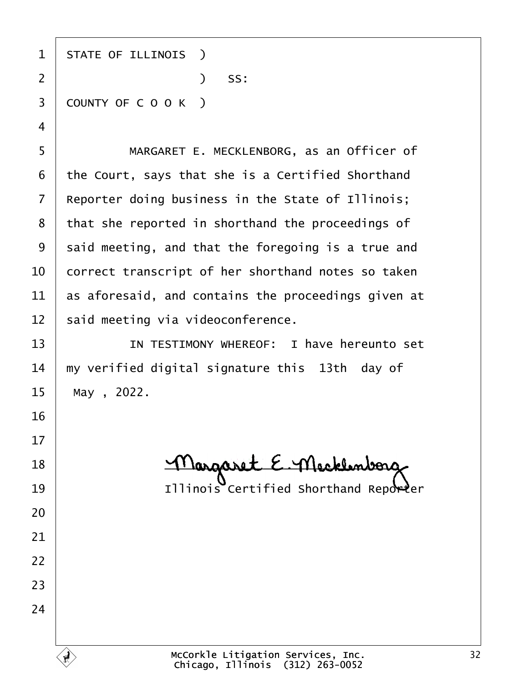1 | STATE OF ILLINOIS )  $)$  SS: 3 COUNTY OF C O O K )

5 | MARGARET E. MECKLENBORG, as an Officer of the Court, says that she is a Certified Shorthand | Reporter doing business in the State of Illinois; that she reported in shorthand the proceedings of said meeting, and that the foregoing is a true and  $\vert$  correct transcript of her shorthand notes so taken  $\vert$  as aforesaid, and contains the proceedings given at said meeting via videoconference.

**IV IN TESTIMONY WHEREOF:** I have hereunto set  $\parallel$  my verified digital signature this 13th day of 15 | May , 2022.

18 Margaret E. Mecklenborg 19 | **Illinois Certified Shorthand Reporter** 

McCorkle Litigation Services, Inc. Chicago, Illinois· (312) 263-0052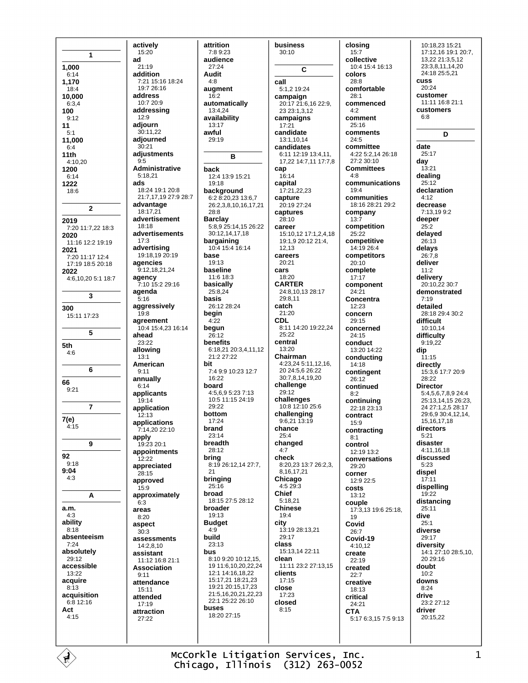1 1,000  $6:14$ 1,170  $18.4$ 10.000  $6:3.4$ 100  $9:12$  $11$  $5.1$ 11,000  $6:4$  $11th$ 4:10,20 1200  $6.14$ 1222 18:6  $\overline{2}$ 2019 7:20 11:7,22 18:3 2020 11:16 12:2 19:19 2021 7:20 11:17 12:4 17:19 18:5 20:18 2022 4:6.10.20 5:1 18:7  $\overline{\mathbf{3}}$ 300 15:11 17:23 5 5th  $4:6$ 6 66  $9:21$  $\overline{7}$  $7(e)$  $4.15$  $\mathbf{9}$ 92  $Q - 1R$  $9:04$  $4:3$ A a.m.  $4.3$ ability  $8.18$ absenteeism  $7:24$ absolutely  $29.12$ accessible 13:22 acquire  $8:13$ acquisition  $6:8$  12:16 Act  $4:15$ 

actively 15:20 ad  $21.19$ addition 7:21 15:16 18:24  $19.726.16$ address 10:7 20:9 addressing  $12.9$ adjourn  $30:11.22$ adjourned  $30.21$ adjustments  $9.5$ **Administrative** 5:18,21 ads  $18:24$  19:1 20:8 21.7 17 19 27:9 28:7 advantage 18:17,21 advertisement  $18.18$ advertisements  $17:3$ advertising 19:18,19 20:19 agencies 9:12,18,21,24 agency 7:10 15:2 29:16 agenda  $5:16$ aggressively  $19:8$ agreement 10:4 15:4,23 16:14 ahead  $23.22$ allowing  $13:1$ American  $9:11$ annually  $6.14$ applicants 19:14 application  $12:13$ applications 7:14,20 22:10 apply 19:23 20:1 appointments  $12.22$ appreciated  $28.15$ approved  $15:9$ approximatelv  $6.3$ areas  $8:20$ aspect  $30.3$ assessments 14:2,8,10 assistant 11:12 16:8 21:1 **Association**  $9:11$ attendance 15:11 attended  $17:19$ attraction  $27.22$ 

attrition 7:8 9:23 audience  $27.24$ Audit call augment automatically 13:4.24 availability 13:17 awful 29:19 R cap  $12.4$  13.9 15.21  $19.18$ background 6:2 8:20,23 13:6,7 26:2,3,8,10,16,17,21 **Barclay** 5:8,9 25:14,15 26:22<br>30:12,14,17,18 bargaining 10:4 15:4 16:14  $19.13$ baseline cars 11:6 18:3 basically 25:8.24 basis 26.12.28.24 begin CDL begun  $26:12$ **henefits** 6:18.21 20:3.4.11.12  $21.227.22$ 7:4 9:9 10:23 12:7  $16.22$ board 4:5,6,9 5:23 7:13  $10.511152419$  $20.22$ bottom 17:24 brand  $23.14$ breadth 28:12 bring 8:19 26:12,14 27:7, bringing  $25.16$ broad 18:15 27:5 28:12 broader  $19.13$ **Budget** city  $23.13$ 8:10 9:20 10:12.15. 19 11:6,10,20,22,24 12:1 14:16 18 22 15:17.21 18:21.23 19:21 20:15,17,23 21:5,16,20,21,22,23 22:1 25:22 26:10 buses 18:20 27:15

 $4.8$ 

 $16:2$ 

hack

 $28.8$ 

base

 $4.22$ 

bit

 $21$ 

 $4:9$ 

build

bus

business  $30:10$  $\overline{c}$ 5:1,2 19:24 campaign 20:17 21:6,16 22:9. 23 23:1,3,12 campaigns  $17:21$ candidate 13:1.10.14 candidates 6:11 12:19 13:4,11, 17,22 14:7,11 17:7,8  $16.14$ capital 17:21.22.23 capture 20:19 27:24 captures  $28.10$ career 15:10,12 17:1,2,4,18 19:1,9 20:12 21:4, 12.13 careers  $20:21$ 18:20 **CARTER** 24:8.10.13 28:17  $29.811$ catch  $21.20$ 8:11 14:20 19:22,24  $25.22$ central  $13:20$ Chairman 4:23,24 5:11,12,16,  $20.24562622$ 30:7,8,14,19,20 challenge 29:12 challenges 10:8 12:10 25:6 challenging  $9:6,21$  13:19 chance  $25.4$ changed  $4:7$ check 8:20,23 13:7 26:2.3. 8.16.17.21 Chicago  $4.529.3$ **Chief**  $5.1821$ **Chinese**  $19.4$ 13:19 28:13,21 29:17 class 15:13,14 22:11 clean 11:11 23:2 27:13,15 clients  $17:15$ close 17:23 closed  $8:15$ 

closing  $15:7$ collective 10:4 15:4 16:13 colors  $28.8$ comfortable  $28:1$ commenced  $4.2$ comment 25:16 comments 24:5 committee 4:22 5:2,14 26:18  $27.230.10$ **Committees**  $4.8$ communications  $19.4$ communities 18:16 28:21 29:2 company  $13:7$ competition  $25:22$ competitive 14:19 26:4 competitors  $20:10$ complete  $17:17$ component  $24:21$ Concentra  $12.23$ concern 29:15 concerned  $24.15$ conduct 13:20 14:22 conducting 14:18 contingent 26:12 continued  $8:2$ continuing 22:18 23:13 contract  $15.9$ contracting  $8:1$ control  $12.1913.2$ conversations  $20.20$ corner 12:9 22:5 costs  $13.12$ couple 17:3,13 19:6 25:18. 19 Covid  $26.7$ Covid-19  $4:10,12$ create  $22.19$ created  $22:7$ creative 18:13 critical 24:21 **CTA** 5:17 6:3,15 7:5 9:13

10:18.23 15:21 17:12,16 19:1 20:7, 13.22 21:3.5.12 23:3,8,11,14,20 24:18 25:5,21 **CUSS**  $20.24$ customer 11:11 16:8 21:1 customers  $6.8$ D date  $25.17$ dav  $13:21$ dealing  $25:12$ declaration  $4:12$ decrease 7:13,199:2 deeper  $25:2$ delayed  $26:13$ delays  $26:7.8$ deliver  $11.2$ delivery 20:10,22 30:7 demonstrated  $7.19$ detailed 28:18.29:4.30:2 difficult 10:10,14 difficulty  $9.19.22$ dip  $11:15$ directly 15:3,6 17:7 20:9  $28.22$ **Director** 5:4,5,6,7,8,9 24:4 25:13,14,15 26:23, 24 27:1,2,5 28:17 29:6,9 30:4,12,14, 15, 16, 17, 18 directors  $5.21$ disaster 4:11,16,18 discussed  $5.23$ dispel  $17:11$ dispelling  $19:22$ distancing  $25:11$ Aive  $25.1$ diverse 29:17 diversity 14:1 27:10 28:5,10, 20 29:16 doubt  $10.2$ downs  $8:24$ drive 23:2 27:12 driver 20:15,22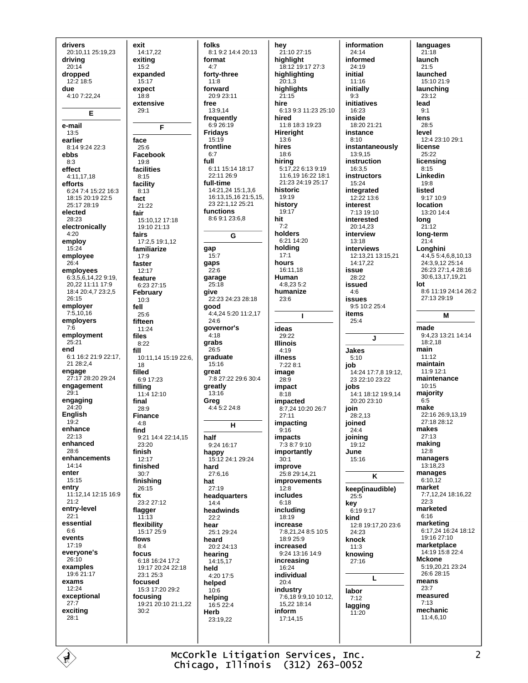drivers 20:10,11 25:19,23 drivina  $20.14$ dropped  $12:2$  18:5 due 4:10 7:22.24 Е e-mail  $13:5$ earlier 8:14 9:24 22:3 ebbs  $8:3$ effect  $4.111718$ efforts 6:24 7:4 15:22 16:3 18:15 20:19 22:5 25:17 28:19 elected  $28.23$ electronically  $4:20$ employ 15:24 employee  $26.4$ employees 6:3,5,6,14,22 9:19, 20,22 11:11 17:9 18:4 20:4,7 23:2,5  $26.15$ employer  $7.51016$ employers  $7:6$ employment  $25:21$ **And** 6:1 16:2 21:9 22:17, 21 28:2.4 engage 27:17 28:20 29:24 engagement  $29:1$ engaging  $24:20$ **English**  $19:2$ enhance  $22.13$ enhanced 28:6 enhancements  $14.14$ enter 15:15 entry 11:12,14 12:15 16:9  $21.2$ entry-level  $22 - 1$ essential  $6:6$ events  $17.19$ everyone's  $26:10$ examples 19:6 21:17 exams  $12:24$ exceptional  $27:7$ excitina  $28:1$ 

exit 14:17,22 exitina  $15.2$ expanded  $15.17$ expect 18:8 extensive  $29.1$ F face  $25:6$ Facebook 19:8 facilities  $8.15$ facility  $8:13$ fact  $21:22$ fair 15:10,12 17:18 19:10 21:13 fairs  $17:2.5$  19:1.12 familiarize  $17.9$ faster 12:17 feature 6:23 27:15 February  $10:3$ fell  $25:6$ fifteen  $11.24$ files  $8:22$ fill 10:11.14 15:19 22:6. 18 filled  $6.917.23$ fillina  $11:412:10$ final  $28.9$ **Finance**  $4:8$ find 9:21 14:4 22:14,15  $23:20$ finish  $12.17$ finished  $30:7$ finishing  $26:15$ fix 23:2 27:12 flagger  $11:13$ flexibility 15:17 25:9 flows  $8:4$ focus 6:18 16:24 17:2 19:17 20:24 22:18  $23.125.3$ focused 15:3 17:20 29:2 focusing 19:21 20:10 21:1,22  $30.2$ 

folks 8:1 9:2 14:4 20:13 format  $4.7$ forty-three  $11:8$ forward 20:9 23:11 free  $13.914$ frequently 6:9 26:19 **Fridays**  $15:19$ frontline  $6.7$ full 6:11 15:14 18:17 22:11 26:9 full-time ---- ------<br>14:21.24 15:1.3.6 16:13 15 16 21:5 15 23 22:1 12 25:21 functions 8:6 9:1 23:6,8 G gap  $15:7$ gaps  $22.6$ garage 25:18 give 22:23 24:23 28:18 good 4:4,24 5:20 11:2,17  $24.6$ governor's  $4:18$ grabs  $26.5$ graduate 15:16 great 7:8 27:22 29:6 30:4 greatly 13:16 Greg 4:4 5:2 24:8  $\mathbf{H}$ half 9:24 16:17 happy 15:12 24:1 29:24 hard 27:6,16 hat  $27.19$ headquarters  $14:4$ headwinds  $22:2$ hear 25:1.29:24 heard 20:2 24:13 hearing 14:15.17 held 4:20 17:5 helped  $10:6$ helping 16:5 22:4 Herb  $23.1922$ 

hev 21:10 27:15 hiahliaht 18:12 19:17 27:3 highlighting  $20:1.\overline{3}$ highlights  $21:15$ hire 6:13 9:3 11:23 25:10 hired 11:8 18:3 19:23 **Hireright** 13:6 hires  $18:6$ hiring 5:17,22 6:13 9:19 11:6,19 16:22 18:1 21:23 24:19 25:17 historic  $19.19$ history  $19:17$ hit  $7:2$ holders 6:21 14:20 holding  $17.1$ hours 16:11,18 **Human** 4:8,23 5:2 humanize  $23:6$  $\mathbf{I}$ ideas  $29.22$ **Illinois**  $4.19$ illness 7:22 8:1 image  $28.9$ impact  $8:18$ impacted 8:7.24 10:20 26:7  $27.11$ impacting  $9:16$ impacts 7:3 8:7 9:10 importantly  $30.1$ improve 25:8 29:14,21 improvements  $12.8$ includes  $6:18$ including 18:19 increase 7:8,21,24 8:5 10:5  $18.925.9$ increased 9:24 13:16 14:9 increasing  $16.24$ individual  $20:4$ industry<br>7:6,18 9:9,10 10:12,  $15,22$  18:14 inform 17:14.15

information  $24.14$ informed  $24.19$ initial  $11.16$ initially  $9:3$ initiatives  $16:23$ inside 18:20 21:21 instance  $8:10$ instantaneously 13:9,15 instruction 16:3.5 **instructors** 15:24 integrated  $12.22136$ interest 7:13 19:10 interested  $20.1423$ interview  $13:18$ interviews 12:13.21 13:15.21 14:17.22 iccup  $28.22$ issued  $4:6$ issues  $9.510.2254$ items  $25:4$ J. Jakes  $5:10$ job 23 22 10 23 22 iobs 14:1 18:12 19:9,14 20:20 23:10 join  $28.213$ joined  $24.4$ joining  $19.12$ June 15:16  $\overline{\mathsf{K}}$ keep(inaudible)  $25.5$ key  $6:199:17$ kind 12:8 19:17.20 23:6 24:23 knock  $11:3$ knowing  $27.16$  $\mathbf{L}$ labor  $7:12$ lagging 11:20

languages  $21:18$ launch  $21.5$ launched  $15:10.21:9$ launching 23:12 lead  $9.1$ lens 28:5 level 12:4 23:10 29:1 license  $25:22$ licensing  $8:15$ Linkedin  $19:8$ listed 9:17 10:9 **location** 13:20 14:4 long  $21:12$ long-term  $21:4$ Lonahini  $4.45534681013$ 24:3.9.12 25:14 26:23 27:1,4 28:16 30:6.13.17.19.21 lot 8:6 11:19 24:14 26:2 27:13 29:19 м made 9:4,23 13:21 14:14  $18:2,18$ main  $11.12$ maintain 11:9 12:1 maintenance  $10.15$ majority  $6:5$ make 22:16 26:9.13.19 27:18 28:12 makes  $27.13$ making  $12:8$ managers  $13.18.23$ manages  $6:10,12$ market 7:7,12,24 18:16,22  $22.3$ marketed  $6.16$ marketing 6:17,24 16:24 18:12 19:16 27:10 marketplace  $14.19$  15.8 22.4 **Mckone** 5:19,20,21 23:24 26:6 28:15 means  $23:7$ measured  $7.13$ mechanic 11:4,6,10

McCorkle Litigation Services, Inc. Chicago, Illinois (312) 263-0052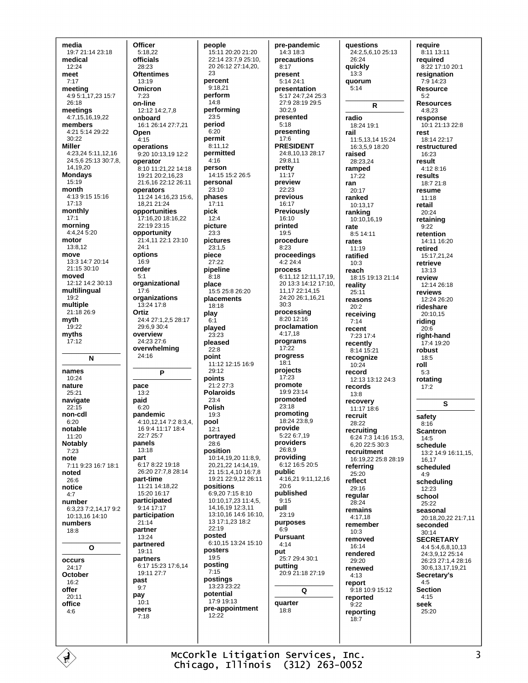media 19:7 21:14 23:18 medical  $12.24$ meet  $7.17$ meeting 4:9 5:1, 17, 23 15:7  $26.18$ meetings 4:7,15,16,19,22 members  $4.215.1429.22$ 30:22 **Miller** 4:23.24 5:11.12.16  $24.5625.1330.78$ 14 19 20 **Mondays** 15:19 month 4:13 9:15 15:16  $17.13$ monthly  $17.1$ morning  $4:4,24\overline{5}:20$ motor  $13.812$ move 13:3 14:7 20:14 21:15 30:10 moved 12:12 14:2 30:13 multilingual 19:2 multiple 21:18 26:9 myth 19:22 myths  $17:12$  $\mathbf{N}$ names  $10.24$ nature  $25.21$ navigate  $22:15$ non-cdl  $6:20$ notable 11:20 **Notably**  $7:23$ note 7:11 9:23 16:7 18:1 noted 26:6 notice  $4:7$ number 6:3,23 7:2,14,17 9:2  $10.131614.10$ numbers  $18:8$  $\mathbf{o}$ occurs  $24.17$ October  $16.2$ offer  $20:11$ office  $4.6$ 

Officer 5:18,22 officials  $28.23$ **Oftentimes**  $13.19$ Omicron  $7:23$ on-line  $12.1214.278$ onboard 16:1 26:14 27:7,21 Open  $4:15$ operations 9:20 10:13,19 12:2 operator 8:10 11:21,22 14:18 19:21 20:2,16,23 21:6,16 22:12 26:11 operators 11:24 14:16,23 15:6. 18.21 21:24 opportunities 17:16,20 18:16,22 22:19 23:15 opportunity 21:4,11 22:1 23:10  $24.1$ options 16:9 order  $5:1$ organizational  $17:6$ organizations 13:24 17:8 Ortiz 24:4 27:1.2.5 28:17 29:6.9 30:4 overview 24:23 27:6 overwhelming  $24:16$ P pace  $13:2$ paid  $6:20$ pandemic 4:10.12.14 7:2 8:3.4. 16 9:4 11:17 18:4  $22.725.7$ panels 13:18 part 6:17 8:22 19:18 26:20 27:7.8 28:14 part-time  $11.21$   $14.18$  22 15:20 16:17 participated 9:14 17:17 participation  $21.14$ partner 13:24 partnered 19:11 partners 6:17 15:23 17:6,14  $19:11.27:7$ past  $9:7$ pay  $10.1$ peers  $7:18$ 

people 15:11 20:20 21:20 22:14 23:7.9 25:10. 20 26:12 27:14,20, 23 percent  $9.1821$ perform  $14:8$ performing  $23:5$ period  $6.20$ permit  $8.1112$ permitted  $4.16$ person 14:15 15:2 26:5 personal  $23:10$ phases  $17:11$ pick  $12:4$ picture  $23.3$ pictures  $23:1.5$ piece 27:22 pipeline  $8.18$ place 15:5 25:8 26:20 placements 18:18 play  $6:1$ played  $23.23$ pleased  $22.8$ point 11:12 12:15 16:9 29:12 points 21:2 27:3 **Polaroids**  $23.4$ **Polish**  $19:3$ pool  $12.1$ portrayed  $28:6$ position 10:14,19,20 11:8,9, 20.21.22 14:14.19. 21 15:1.4.10 16:7.8 19:21 22:9 12 26:11 positions 6:9,20 7:15 8:10 10:10,17,23 11:4,5, 14, 16, 19 12: 3, 11 13:10.16 14:6 16:10. 13 17:1,23 18:2  $22:19$ posted 6:10 15 13:24 15:10 posters  $19:5$ posting  $7:15$ postings  $13.23.23.22$ potential  $17.919.13$ pre-appointment  $12.22$ 

pre-pandemic 14:3 18:3 precautions  $8.17$ present  $5.1424.1$ presentation 5:17 24:7,24 25:3 27.9.28.19.29.5  $30.29$ presented  $5:18$ presenting  $17:6$ **PRESIDENT** 24:8,10,13 28:17  $29.811$ pretty  $11:17$ preview  $22.23$ previous  $16:17$ **Previously**  $16:10$ printed  $19.5$ procedure  $8:23$ proceedings  $4:224:4$ process 6.11 12 12:11 17 19 20 13:3 14:12 17:10 11.17 22:14.15 24:20 26:1,16,21  $30.3$ processing 8:20 12:16 proclamation  $4.1718$ programs 17:22 progress  $18:1$ projects  $17:23$ promote  $19.923.14$ promoted  $23.18$ promoting 18:24 23:8,9 provide 5:22 6:7.19 providers  $26.8.9$ providing 6:12 16:5 20:5 public 4:16.21 9:11.12.16  $20.6$ published  $9:15$ pull 23:19 purposes  $6.9$ **Pursuant**  $4.14$ put 25:7 29:4 30:1 putting 20:9 21:18 27:19 Q quarter  $18.8$ 

questions 24:2,5,6,10 25:13 26:24 quickly  $13:3$ quorum  $5:14$  $\mathsf{R}$ radio 18:24 19:1 rail 11:5,13,14 15:24 16:3,5.9 18:20 raised 28:23.24 ramped  $17.22$ ran  $20:17$ ranked 10:13.17 ranking 10:10,16.19 rate 8:5 14:11 rates  $11:19$ ratified  $10.3$ reach 18:15 19:13 21:14 reality  $25.11$ reasons  $20:2$ receiving  $7.14$ recent 7:23 17:4 recently 8:14 15:21 recognize  $10:24$ record 12:13 13:12 24:3 records 13:8 recovery  $11.17186$ recruit 28:22 recruiting 6:24 7:3 14:16 15:3, 6.20 22:5 30:3 recruitment 16:19.22 25:8 28:19 referring  $25:20$ reflect  $29.16$ regular 28:24 remains  $4:17,18$ remember  $10:3$ removed 16:14 rendered  $29:20$ renewed  $4.13$ report 9:18 10:9 15:12 reported  $9.22$ reporting  $18:7$ 

require 8:11 13:11 reauired  $8.2217.10201$ resignation  $7.914.23$ **Resource**  $5:2$ **Resources**  $4.823$ response 10:1 21:13 22:8 rest 18:14 22:17 restructured 16:23 result 4:12 8:16 results 18:7 21:8 resume  $11.18$ retail  $20:24$ retaining  $Q \cdot 22$ retention 14:11 16:20 retired 15:17 21 24 retrieve  $13.13$ review 12:14 26:18 reviews  $12:2426:20$ rideshare 20:10.15 riding  $20:6$ right-hand 17:4 19:20 robust  $18:5$ roll  $5.3$ rotating  $17:2$ S safety  $8:16$ **Scantron**  $14.5$ schedule 13:2 14:9 16:11,15, 16,17 scheduled  $4:9$ schedulina  $12.23$ school 25:22 seasonal 20:18 20 22 21:7 11 seconded  $30:14$ **SECRETARY** 4:4 5:4,6,8,10,13 24:39 12 25:14 26:23 27:1.4 28:16 30.6 13 17 19 21 Secretary's  $4:5$ **Section**  $4:15$ seek  $25.20$